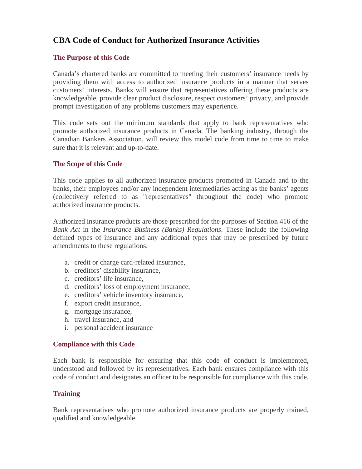# **CBA Code of Conduct for Authorized Insurance Activities**

## **The Purpose of this Code**

Canada's chartered banks are committed to meeting their customers' insurance needs by providing them with access to authorized insurance products in a manner that serves customers' interests. Banks will ensure that representatives offering these products are knowledgeable, provide clear product disclosure, respect customers' privacy, and provide prompt investigation of any problems customers may experience.

This code sets out the minimum standards that apply to bank representatives who promote authorized insurance products in Canada. The banking industry, through the Canadian Bankers Association, will review this model code from time to time to make sure that it is relevant and up-to-date.

#### **The Scope of this Code**

This code applies to all authorized insurance products promoted in Canada and to the banks, their employees and/or any independent intermediaries acting as the banks' agents (collectively referred to as "representatives" throughout the code) who promote authorized insurance products.

Authorized insurance products are those prescribed for the purposes of Section 416 of the *Bank Act* in the *Insurance Business (Banks) Regulations*. These include the following defined types of insurance and any additional types that may be prescribed by future amendments to these regulations:

- a. credit or charge card-related insurance,
- b. creditors' disability insurance,
- c. creditors' life insurance,
- d. creditors' loss of employment insurance,
- e. creditors' vehicle inventory insurance,
- f. export credit insurance,
- g. mortgage insurance,
- h. travel insurance, and
- i. personal accident insurance

#### **Compliance with this Code**

Each bank is responsible for ensuring that this code of conduct is implemented, understood and followed by its representatives. Each bank ensures compliance with this code of conduct and designates an officer to be responsible for compliance with this code.

#### **Training**

Bank representatives who promote authorized insurance products are properly trained, qualified and knowledgeable.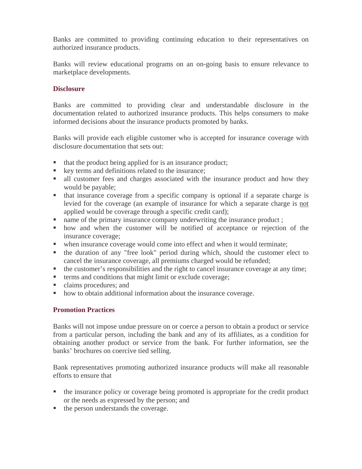Banks are committed to providing continuing education to their representatives on authorized insurance products.

Banks will review educational programs on an on-going basis to ensure relevance to marketplace developments.

#### **Disclosure**

Banks are committed to providing clear and understandable disclosure in the documentation related to authorized insurance products. This helps consumers to make informed decisions about the insurance products promoted by banks.

Banks will provide each eligible customer who is accepted for insurance coverage with disclosure documentation that sets out:

- that the product being applied for is an insurance product;
- **key terms and definitions related to the insurance;**
- all customer fees and charges associated with the insurance product and how they would be payable;
- that insurance coverage from a specific company is optional if a separate charge is levied for the coverage (an example of insurance for which a separate charge is not applied would be coverage through a specific credit card);
- name of the primary insurance company underwriting the insurance product ;
- how and when the customer will be notified of acceptance or rejection of the insurance coverage;
- when insurance coverage would come into effect and when it would terminate;
- the duration of any "free look" period during which, should the customer elect to cancel the insurance coverage, all premiums charged would be refunded;
- the customer's responsibilities and the right to cancel insurance coverage at any time;
- terms and conditions that might limit or exclude coverage;
- claims procedures; and
- how to obtain additional information about the insurance coverage.

## **Promotion Practices**

Banks will not impose undue pressure on or coerce a person to obtain a product or service from a particular person, including the bank and any of its affiliates, as a condition for obtaining another product or service from the bank. For further information, see the banks' brochures on coercive tied selling.

Bank representatives promoting authorized insurance products will make all reasonable efforts to ensure that

- the insurance policy or coverage being promoted is appropriate for the credit product or the needs as expressed by the person; and
- $\blacksquare$  the person understands the coverage.